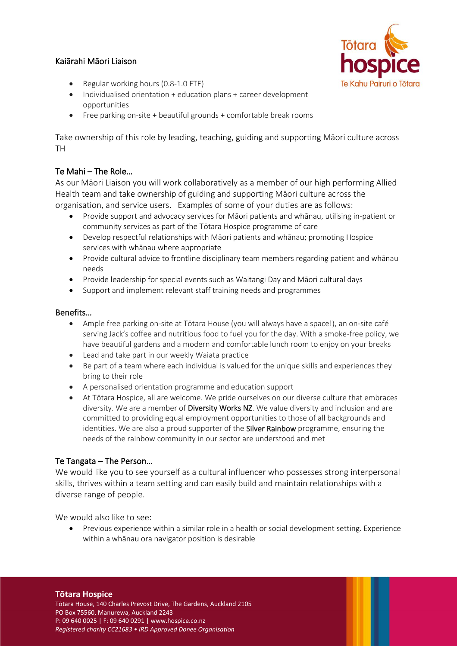# Kaiārahi Māori Liaison



- Regular working hours (0.8-1.0 FTE)
- Individualised orientation + education plans + career development opportunities
- Free parking on-site + beautiful grounds + comfortable break rooms

Take ownership of this role by leading, teaching, guiding and supporting Māori culture across TH

## Te Mahi – The Role…

As our Māori Liaison you will work collaboratively as a member of our high performing Allied Health team and take ownership of guiding and supporting Māori culture across the organisation, and service users. Examples of some of your duties are as follows:

- Provide support and advocacy services for Māori patients and whānau, utilising in-patient or community services as part of the Tōtara Hospice programme of care
- Develop respectful relationships with Māori patients and whānau; promoting Hospice services with whānau where appropriate
- Provide cultural advice to frontline disciplinary team members regarding patient and whānau needs
- Provide leadership for special events such as Waitangi Day and Māori cultural days
- Support and implement relevant staff training needs and programmes

### Benefits…

- Ample free parking on-site at Tōtara House (you will always have a space!), an on-site café serving Jack's coffee and nutritious food to fuel you for the day. With a smoke-free policy, we have beautiful gardens and a modern and comfortable lunch room to enjoy on your breaks
- Lead and take part in our weekly Waiata practice
- Be part of a team where each individual is valued for the unique skills and experiences they bring to their role
- A personalised orientation programme and education support
- At Tōtara Hospice, all are welcome. We pride ourselves on our diverse culture that embraces diversity. We are a member of Diversity Works NZ. We value diversity and inclusion and are committed to providing equal employment opportunities to those of all backgrounds and identities. We are also a proud supporter of the **Silver Rainbow** programme, ensuring the needs of the rainbow community in our sector are understood and met

### Te Tangata – The Person…

We would like you to see yourself as a cultural influencer who possesses strong interpersonal skills, thrives within a team setting and can easily build and maintain relationships with a diverse range of people.

We would also like to see:

• Previous experience within a similar role in a health or social development setting. Experience within a whānau ora navigator position is desirable

#### **Tōtara Hospice**

Tōtara House, 140 Charles Prevost Drive, The Gardens, Auckland 2105 PO Box 75560, Manurewa, Auckland 2243 P: 09 640 0025 | F: 09 640 0291 | www.hospice.co.nz *Registered charity CC21683 • IRD Approved Donee Organisation*